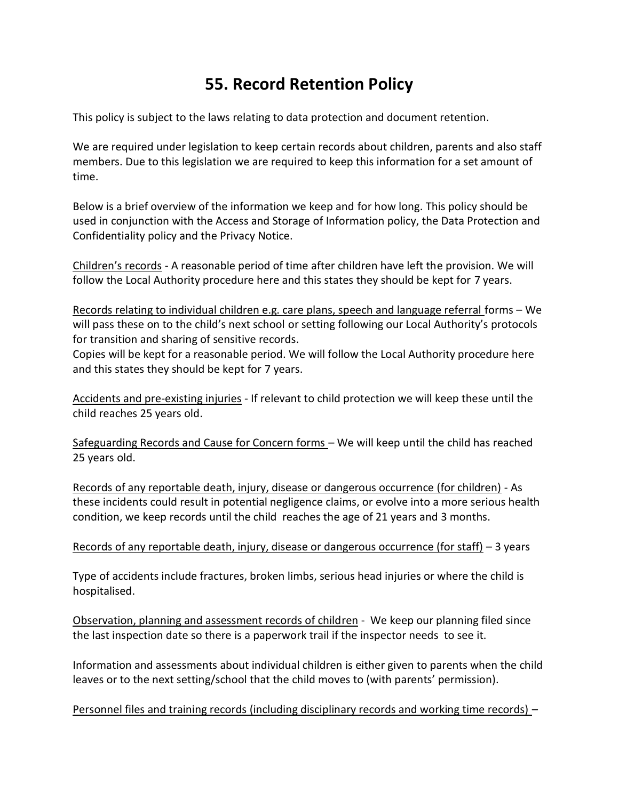## **55. Record Retention Policy**

This policy is subject to the laws relating to data protection and document retention.

We are required under legislation to keep certain records about children, parents and also staff members. Due to this legislation we are required to keep this information for a set amount of time.

Below is a brief overview of the information we keep and for how long. This policy should be used in conjunction with the Access and Storage of Information policy, the Data Protection and Confidentiality policy and the Privacy Notice.

Children's records - A reasonable period of time after children have left the provision. We will follow the Local Authority procedure here and this states they should be kept for 7 years.

Records relating to individual children e.g. care plans, speech and language referral forms – We will pass these on to the child's next school or setting following our Local Authority's protocols for transition and sharing of sensitive records.

Copies will be kept for a reasonable period. We will follow the Local Authority procedure here and this states they should be kept for 7 years.

Accidents and pre-existing injuries - If relevant to child protection we will keep these until the child reaches 25 years old.

Safeguarding Records and Cause for Concern forms – We will keep until the child has reached 25 years old.

Records of any reportable death, injury, disease or dangerous occurrence (for children) - As these incidents could result in potential negligence claims, or evolve into a more serious health condition, we keep records until the child reaches the age of 21 years and 3 months.

## Records of any reportable death, injury, disease or dangerous occurrence (for staff) – 3 years

Type of accidents include fractures, broken limbs, serious head injuries or where the child is hospitalised.

Observation, planning and assessment records of children - We keep our planning filed since the last inspection date so there is a paperwork trail if the inspector needs to see it.

Information and assessments about individual children is either given to parents when the child leaves or to the next setting/school that the child moves to (with parents' permission).

Personnel files and training records (including disciplinary records and working time records) –